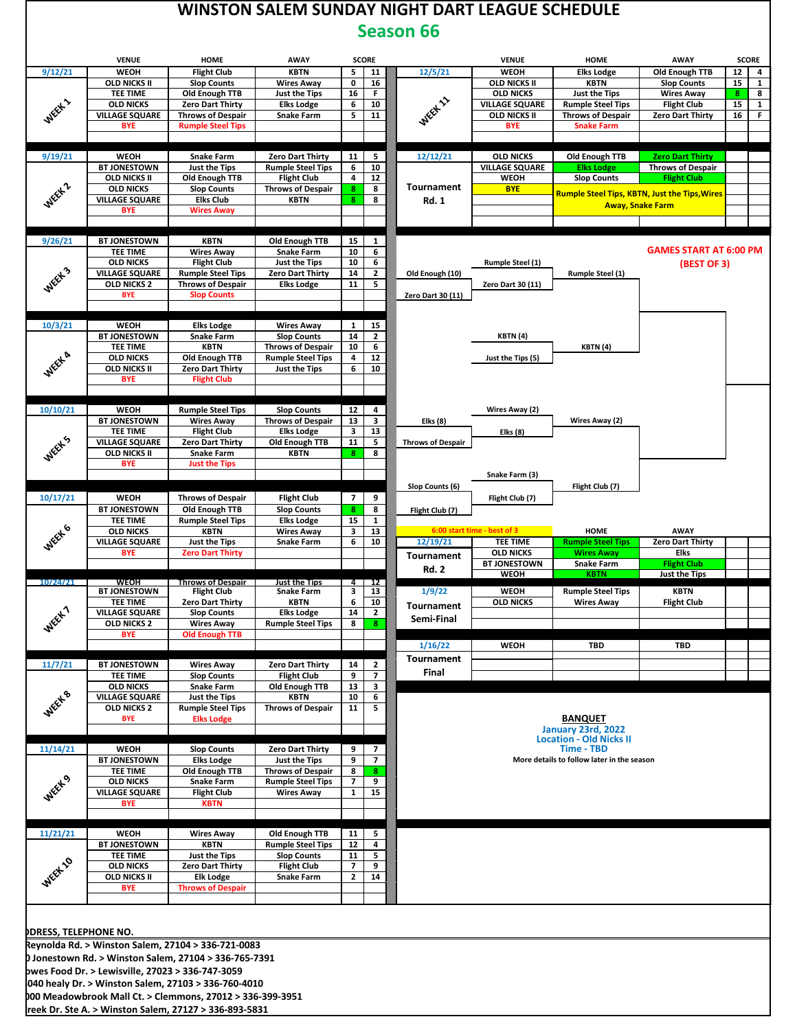

| <b>VENUE</b>                 | HOME                                                                                                                                                                                                                                                                                                                                                                                                                                                                                                                                 | <b>AWAY</b>                                                                                                                                                                                                                                                                                                                                                                                                                                                                                                                                                                                                                                                                                              |                                                                                                                                                                                                                                                                                                                                                                                                                                                                                                                                                                                                              | <b>SCORE</b>                                                                      |                                                                                                                                                                                                                                                                                                                                                                                                                                                                                                                                                                                             |              | <b>VENUE</b>                                                                                                                                                                                                    | HOME                                                                                                                                                                                                                                                      | <b>AWAY</b>                                                                                                                                                                                                                                                                                        |                                                                                                                                                                                                                                                                                                            | <b>SCORE</b>                                             |
|------------------------------|--------------------------------------------------------------------------------------------------------------------------------------------------------------------------------------------------------------------------------------------------------------------------------------------------------------------------------------------------------------------------------------------------------------------------------------------------------------------------------------------------------------------------------------|----------------------------------------------------------------------------------------------------------------------------------------------------------------------------------------------------------------------------------------------------------------------------------------------------------------------------------------------------------------------------------------------------------------------------------------------------------------------------------------------------------------------------------------------------------------------------------------------------------------------------------------------------------------------------------------------------------|--------------------------------------------------------------------------------------------------------------------------------------------------------------------------------------------------------------------------------------------------------------------------------------------------------------------------------------------------------------------------------------------------------------------------------------------------------------------------------------------------------------------------------------------------------------------------------------------------------------|-----------------------------------------------------------------------------------|---------------------------------------------------------------------------------------------------------------------------------------------------------------------------------------------------------------------------------------------------------------------------------------------------------------------------------------------------------------------------------------------------------------------------------------------------------------------------------------------------------------------------------------------------------------------------------------------|--------------|-----------------------------------------------------------------------------------------------------------------------------------------------------------------------------------------------------------------|-----------------------------------------------------------------------------------------------------------------------------------------------------------------------------------------------------------------------------------------------------------|----------------------------------------------------------------------------------------------------------------------------------------------------------------------------------------------------------------------------------------------------------------------------------------------------|------------------------------------------------------------------------------------------------------------------------------------------------------------------------------------------------------------------------------------------------------------------------------------------------------------|----------------------------------------------------------|
| WEOH                         | <b>Flight Club</b>                                                                                                                                                                                                                                                                                                                                                                                                                                                                                                                   | <b>KBTN</b>                                                                                                                                                                                                                                                                                                                                                                                                                                                                                                                                                                                                                                                                                              | 5 <sub>1</sub>                                                                                                                                                                                                                                                                                                                                                                                                                                                                                                                                                                                               | 11                                                                                |                                                                                                                                                                                                                                                                                                                                                                                                                                                                                                                                                                                             | 12/5/21      | WEOH                                                                                                                                                                                                            | <b>Elks Lodge</b>                                                                                                                                                                                                                                         | Old Enough TTB                                                                                                                                                                                                                                                                                     | 12                                                                                                                                                                                                                                                                                                         | $\overline{\mathbf{4}}$                                  |
| <b>OLD NICKS II</b>          | <b>Slop Counts</b>                                                                                                                                                                                                                                                                                                                                                                                                                                                                                                                   | <b>Wires Away</b>                                                                                                                                                                                                                                                                                                                                                                                                                                                                                                                                                                                                                                                                                        | $\mathbf{0}$                                                                                                                                                                                                                                                                                                                                                                                                                                                                                                                                                                                                 | 16                                                                                |                                                                                                                                                                                                                                                                                                                                                                                                                                                                                                                                                                                             |              | <b>OLD NICKS II</b>                                                                                                                                                                                             | <b>KBTN</b>                                                                                                                                                                                                                                               | <b>Slop Counts</b>                                                                                                                                                                                                                                                                                 | 15                                                                                                                                                                                                                                                                                                         | $\mathbf{1}$                                             |
| <b>TEE TIME</b>              |                                                                                                                                                                                                                                                                                                                                                                                                                                                                                                                                      | Just the Tips                                                                                                                                                                                                                                                                                                                                                                                                                                                                                                                                                                                                                                                                                            |                                                                                                                                                                                                                                                                                                                                                                                                                                                                                                                                                                                                              | F.                                                                                |                                                                                                                                                                                                                                                                                                                                                                                                                                                                                                                                                                                             |              | <b>OLD NICKS</b>                                                                                                                                                                                                | Just the Tips                                                                                                                                                                                                                                             |                                                                                                                                                                                                                                                                                                    | 8 <sub>1</sub>                                                                                                                                                                                                                                                                                             | 8                                                        |
|                              |                                                                                                                                                                                                                                                                                                                                                                                                                                                                                                                                      | <b>Elks Lodge</b>                                                                                                                                                                                                                                                                                                                                                                                                                                                                                                                                                                                                                                                                                        |                                                                                                                                                                                                                                                                                                                                                                                                                                                                                                                                                                                                              |                                                                                   |                                                                                                                                                                                                                                                                                                                                                                                                                                                                                                                                                                                             |              |                                                                                                                                                                                                                 |                                                                                                                                                                                                                                                           |                                                                                                                                                                                                                                                                                                    |                                                                                                                                                                                                                                                                                                            | $\mathbf{1}$                                             |
|                              |                                                                                                                                                                                                                                                                                                                                                                                                                                                                                                                                      |                                                                                                                                                                                                                                                                                                                                                                                                                                                                                                                                                                                                                                                                                                          |                                                                                                                                                                                                                                                                                                                                                                                                                                                                                                                                                                                                              |                                                                                   |                                                                                                                                                                                                                                                                                                                                                                                                                                                                                                                                                                                             |              |                                                                                                                                                                                                                 |                                                                                                                                                                                                                                                           |                                                                                                                                                                                                                                                                                                    |                                                                                                                                                                                                                                                                                                            | F.                                                       |
|                              |                                                                                                                                                                                                                                                                                                                                                                                                                                                                                                                                      |                                                                                                                                                                                                                                                                                                                                                                                                                                                                                                                                                                                                                                                                                                          |                                                                                                                                                                                                                                                                                                                                                                                                                                                                                                                                                                                                              |                                                                                   |                                                                                                                                                                                                                                                                                                                                                                                                                                                                                                                                                                                             |              |                                                                                                                                                                                                                 |                                                                                                                                                                                                                                                           |                                                                                                                                                                                                                                                                                                    |                                                                                                                                                                                                                                                                                                            |                                                          |
| <b>WEOH</b>                  |                                                                                                                                                                                                                                                                                                                                                                                                                                                                                                                                      |                                                                                                                                                                                                                                                                                                                                                                                                                                                                                                                                                                                                                                                                                                          |                                                                                                                                                                                                                                                                                                                                                                                                                                                                                                                                                                                                              |                                                                                   |                                                                                                                                                                                                                                                                                                                                                                                                                                                                                                                                                                                             |              | <b>OLD NICKS</b>                                                                                                                                                                                                |                                                                                                                                                                                                                                                           |                                                                                                                                                                                                                                                                                                    |                                                                                                                                                                                                                                                                                                            |                                                          |
| <b>BT JONESTOWN</b>          | Just the Tips                                                                                                                                                                                                                                                                                                                                                                                                                                                                                                                        | <b>Rumple Steel Tips</b>                                                                                                                                                                                                                                                                                                                                                                                                                                                                                                                                                                                                                                                                                 | 6                                                                                                                                                                                                                                                                                                                                                                                                                                                                                                                                                                                                            | 10                                                                                |                                                                                                                                                                                                                                                                                                                                                                                                                                                                                                                                                                                             |              | <b>VILLAGE SQUARE</b>                                                                                                                                                                                           | <b>Elks Lodge</b>                                                                                                                                                                                                                                         | <b>Throws of Despair</b>                                                                                                                                                                                                                                                                           |                                                                                                                                                                                                                                                                                                            |                                                          |
| <b>OLD NICKS II</b>          | Old Enough TTB                                                                                                                                                                                                                                                                                                                                                                                                                                                                                                                       | <b>Flight Club</b>                                                                                                                                                                                                                                                                                                                                                                                                                                                                                                                                                                                                                                                                                       | $\overline{4}$                                                                                                                                                                                                                                                                                                                                                                                                                                                                                                                                                                                               |                                                                                   |                                                                                                                                                                                                                                                                                                                                                                                                                                                                                                                                                                                             |              | <b>WEOH</b>                                                                                                                                                                                                     | <b>Slop Counts</b>                                                                                                                                                                                                                                        | <b>Flight Club</b>                                                                                                                                                                                                                                                                                 |                                                                                                                                                                                                                                                                                                            |                                                          |
| <b>OLD NICKS</b>             | <b>Slop Counts</b>                                                                                                                                                                                                                                                                                                                                                                                                                                                                                                                   |                                                                                                                                                                                                                                                                                                                                                                                                                                                                                                                                                                                                                                                                                                          | 8 <sup>2</sup>                                                                                                                                                                                                                                                                                                                                                                                                                                                                                                                                                                                               |                                                                                   |                                                                                                                                                                                                                                                                                                                                                                                                                                                                                                                                                                                             |              | <b>BYE</b>                                                                                                                                                                                                      |                                                                                                                                                                                                                                                           |                                                                                                                                                                                                                                                                                                    |                                                                                                                                                                                                                                                                                                            |                                                          |
|                              |                                                                                                                                                                                                                                                                                                                                                                                                                                                                                                                                      |                                                                                                                                                                                                                                                                                                                                                                                                                                                                                                                                                                                                                                                                                                          |                                                                                                                                                                                                                                                                                                                                                                                                                                                                                                                                                                                                              |                                                                                   |                                                                                                                                                                                                                                                                                                                                                                                                                                                                                                                                                                                             |              |                                                                                                                                                                                                                 |                                                                                                                                                                                                                                                           |                                                                                                                                                                                                                                                                                                    |                                                                                                                                                                                                                                                                                                            |                                                          |
|                              |                                                                                                                                                                                                                                                                                                                                                                                                                                                                                                                                      |                                                                                                                                                                                                                                                                                                                                                                                                                                                                                                                                                                                                                                                                                                          |                                                                                                                                                                                                                                                                                                                                                                                                                                                                                                                                                                                                              |                                                                                   |                                                                                                                                                                                                                                                                                                                                                                                                                                                                                                                                                                                             |              |                                                                                                                                                                                                                 |                                                                                                                                                                                                                                                           |                                                                                                                                                                                                                                                                                                    |                                                                                                                                                                                                                                                                                                            |                                                          |
|                              |                                                                                                                                                                                                                                                                                                                                                                                                                                                                                                                                      |                                                                                                                                                                                                                                                                                                                                                                                                                                                                                                                                                                                                                                                                                                          |                                                                                                                                                                                                                                                                                                                                                                                                                                                                                                                                                                                                              |                                                                                   |                                                                                                                                                                                                                                                                                                                                                                                                                                                                                                                                                                                             |              |                                                                                                                                                                                                                 |                                                                                                                                                                                                                                                           |                                                                                                                                                                                                                                                                                                    |                                                                                                                                                                                                                                                                                                            |                                                          |
|                              |                                                                                                                                                                                                                                                                                                                                                                                                                                                                                                                                      |                                                                                                                                                                                                                                                                                                                                                                                                                                                                                                                                                                                                                                                                                                          |                                                                                                                                                                                                                                                                                                                                                                                                                                                                                                                                                                                                              |                                                                                   |                                                                                                                                                                                                                                                                                                                                                                                                                                                                                                                                                                                             |              |                                                                                                                                                                                                                 |                                                                                                                                                                                                                                                           |                                                                                                                                                                                                                                                                                                    |                                                                                                                                                                                                                                                                                                            |                                                          |
|                              |                                                                                                                                                                                                                                                                                                                                                                                                                                                                                                                                      |                                                                                                                                                                                                                                                                                                                                                                                                                                                                                                                                                                                                                                                                                                          |                                                                                                                                                                                                                                                                                                                                                                                                                                                                                                                                                                                                              |                                                                                   |                                                                                                                                                                                                                                                                                                                                                                                                                                                                                                                                                                                             |              |                                                                                                                                                                                                                 |                                                                                                                                                                                                                                                           |                                                                                                                                                                                                                                                                                                    |                                                                                                                                                                                                                                                                                                            |                                                          |
| <b>VILLAGE SQUARE</b>        | <b>Rumple Steel Tips</b>                                                                                                                                                                                                                                                                                                                                                                                                                                                                                                             | <b>Zero Dart Thirty</b>                                                                                                                                                                                                                                                                                                                                                                                                                                                                                                                                                                                                                                                                                  | 14                                                                                                                                                                                                                                                                                                                                                                                                                                                                                                                                                                                                           |                                                                                   |                                                                                                                                                                                                                                                                                                                                                                                                                                                                                                                                                                                             |              |                                                                                                                                                                                                                 | <b>Rumple Steel (1)</b>                                                                                                                                                                                                                                   |                                                                                                                                                                                                                                                                                                    |                                                                                                                                                                                                                                                                                                            |                                                          |
| OLD NICKS 2                  | <b>Throws of Despair</b>                                                                                                                                                                                                                                                                                                                                                                                                                                                                                                             | <b>Elks Lodge</b>                                                                                                                                                                                                                                                                                                                                                                                                                                                                                                                                                                                                                                                                                        | 11                                                                                                                                                                                                                                                                                                                                                                                                                                                                                                                                                                                                           | 5                                                                                 |                                                                                                                                                                                                                                                                                                                                                                                                                                                                                                                                                                                             |              | Zero Dart 30 (11)                                                                                                                                                                                               |                                                                                                                                                                                                                                                           |                                                                                                                                                                                                                                                                                                    |                                                                                                                                                                                                                                                                                                            |                                                          |
| <b>BYE</b>                   | <b>Slop Counts</b>                                                                                                                                                                                                                                                                                                                                                                                                                                                                                                                   |                                                                                                                                                                                                                                                                                                                                                                                                                                                                                                                                                                                                                                                                                                          |                                                                                                                                                                                                                                                                                                                                                                                                                                                                                                                                                                                                              |                                                                                   |                                                                                                                                                                                                                                                                                                                                                                                                                                                                                                                                                                                             |              |                                                                                                                                                                                                                 |                                                                                                                                                                                                                                                           |                                                                                                                                                                                                                                                                                                    |                                                                                                                                                                                                                                                                                                            |                                                          |
|                              |                                                                                                                                                                                                                                                                                                                                                                                                                                                                                                                                      |                                                                                                                                                                                                                                                                                                                                                                                                                                                                                                                                                                                                                                                                                                          |                                                                                                                                                                                                                                                                                                                                                                                                                                                                                                                                                                                                              |                                                                                   |                                                                                                                                                                                                                                                                                                                                                                                                                                                                                                                                                                                             |              |                                                                                                                                                                                                                 |                                                                                                                                                                                                                                                           |                                                                                                                                                                                                                                                                                                    |                                                                                                                                                                                                                                                                                                            |                                                          |
| WEOH                         |                                                                                                                                                                                                                                                                                                                                                                                                                                                                                                                                      | <b>Wires Away</b>                                                                                                                                                                                                                                                                                                                                                                                                                                                                                                                                                                                                                                                                                        |                                                                                                                                                                                                                                                                                                                                                                                                                                                                                                                                                                                                              |                                                                                   |                                                                                                                                                                                                                                                                                                                                                                                                                                                                                                                                                                                             |              |                                                                                                                                                                                                                 |                                                                                                                                                                                                                                                           |                                                                                                                                                                                                                                                                                                    |                                                                                                                                                                                                                                                                                                            |                                                          |
| <b>BT JONESTOWN</b>          | <b>Snake Farm</b>                                                                                                                                                                                                                                                                                                                                                                                                                                                                                                                    | <b>Slop Counts</b>                                                                                                                                                                                                                                                                                                                                                                                                                                                                                                                                                                                                                                                                                       | 14                                                                                                                                                                                                                                                                                                                                                                                                                                                                                                                                                                                                           | $\overline{2}$                                                                    |                                                                                                                                                                                                                                                                                                                                                                                                                                                                                                                                                                                             |              | KBTN (4)                                                                                                                                                                                                        |                                                                                                                                                                                                                                                           |                                                                                                                                                                                                                                                                                                    |                                                                                                                                                                                                                                                                                                            |                                                          |
| <b>TEE TIME</b>              | <b>KBTN</b>                                                                                                                                                                                                                                                                                                                                                                                                                                                                                                                          | <b>Throws of Despair</b>                                                                                                                                                                                                                                                                                                                                                                                                                                                                                                                                                                                                                                                                                 | 10                                                                                                                                                                                                                                                                                                                                                                                                                                                                                                                                                                                                           | 6                                                                                 |                                                                                                                                                                                                                                                                                                                                                                                                                                                                                                                                                                                             |              |                                                                                                                                                                                                                 | KBTN (4)                                                                                                                                                                                                                                                  |                                                                                                                                                                                                                                                                                                    |                                                                                                                                                                                                                                                                                                            |                                                          |
| <b>OLD NICKS</b>             | Old Enough TTB                                                                                                                                                                                                                                                                                                                                                                                                                                                                                                                       | <b>Rumple Steel Tips</b>                                                                                                                                                                                                                                                                                                                                                                                                                                                                                                                                                                                                                                                                                 | $\overline{\mathbf{4}}$                                                                                                                                                                                                                                                                                                                                                                                                                                                                                                                                                                                      | 12                                                                                |                                                                                                                                                                                                                                                                                                                                                                                                                                                                                                                                                                                             |              | Just the Tips (5)                                                                                                                                                                                               |                                                                                                                                                                                                                                                           |                                                                                                                                                                                                                                                                                                    |                                                                                                                                                                                                                                                                                                            |                                                          |
|                              |                                                                                                                                                                                                                                                                                                                                                                                                                                                                                                                                      |                                                                                                                                                                                                                                                                                                                                                                                                                                                                                                                                                                                                                                                                                                          |                                                                                                                                                                                                                                                                                                                                                                                                                                                                                                                                                                                                              |                                                                                   |                                                                                                                                                                                                                                                                                                                                                                                                                                                                                                                                                                                             |              |                                                                                                                                                                                                                 |                                                                                                                                                                                                                                                           |                                                                                                                                                                                                                                                                                                    |                                                                                                                                                                                                                                                                                                            |                                                          |
|                              |                                                                                                                                                                                                                                                                                                                                                                                                                                                                                                                                      |                                                                                                                                                                                                                                                                                                                                                                                                                                                                                                                                                                                                                                                                                                          |                                                                                                                                                                                                                                                                                                                                                                                                                                                                                                                                                                                                              |                                                                                   |                                                                                                                                                                                                                                                                                                                                                                                                                                                                                                                                                                                             |              |                                                                                                                                                                                                                 |                                                                                                                                                                                                                                                           |                                                                                                                                                                                                                                                                                                    |                                                                                                                                                                                                                                                                                                            |                                                          |
|                              |                                                                                                                                                                                                                                                                                                                                                                                                                                                                                                                                      |                                                                                                                                                                                                                                                                                                                                                                                                                                                                                                                                                                                                                                                                                                          |                                                                                                                                                                                                                                                                                                                                                                                                                                                                                                                                                                                                              |                                                                                   |                                                                                                                                                                                                                                                                                                                                                                                                                                                                                                                                                                                             |              |                                                                                                                                                                                                                 |                                                                                                                                                                                                                                                           |                                                                                                                                                                                                                                                                                                    |                                                                                                                                                                                                                                                                                                            |                                                          |
|                              |                                                                                                                                                                                                                                                                                                                                                                                                                                                                                                                                      |                                                                                                                                                                                                                                                                                                                                                                                                                                                                                                                                                                                                                                                                                                          |                                                                                                                                                                                                                                                                                                                                                                                                                                                                                                                                                                                                              |                                                                                   |                                                                                                                                                                                                                                                                                                                                                                                                                                                                                                                                                                                             |              |                                                                                                                                                                                                                 |                                                                                                                                                                                                                                                           |                                                                                                                                                                                                                                                                                                    |                                                                                                                                                                                                                                                                                                            |                                                          |
|                              |                                                                                                                                                                                                                                                                                                                                                                                                                                                                                                                                      |                                                                                                                                                                                                                                                                                                                                                                                                                                                                                                                                                                                                                                                                                                          |                                                                                                                                                                                                                                                                                                                                                                                                                                                                                                                                                                                                              |                                                                                   |                                                                                                                                                                                                                                                                                                                                                                                                                                                                                                                                                                                             |              |                                                                                                                                                                                                                 |                                                                                                                                                                                                                                                           |                                                                                                                                                                                                                                                                                                    |                                                                                                                                                                                                                                                                                                            |                                                          |
| <b>VILLAGE SQUARE</b>        | <b>Zero Dart Thirty</b>                                                                                                                                                                                                                                                                                                                                                                                                                                                                                                              |                                                                                                                                                                                                                                                                                                                                                                                                                                                                                                                                                                                                                                                                                                          |                                                                                                                                                                                                                                                                                                                                                                                                                                                                                                                                                                                                              | 5                                                                                 |                                                                                                                                                                                                                                                                                                                                                                                                                                                                                                                                                                                             |              |                                                                                                                                                                                                                 |                                                                                                                                                                                                                                                           |                                                                                                                                                                                                                                                                                                    |                                                                                                                                                                                                                                                                                                            |                                                          |
| <b>OLD NICKS II</b>          | <b>Snake Farm</b>                                                                                                                                                                                                                                                                                                                                                                                                                                                                                                                    | <b>KBTN</b>                                                                                                                                                                                                                                                                                                                                                                                                                                                                                                                                                                                                                                                                                              | 8 <sub>1</sub>                                                                                                                                                                                                                                                                                                                                                                                                                                                                                                                                                                                               | 8                                                                                 |                                                                                                                                                                                                                                                                                                                                                                                                                                                                                                                                                                                             |              |                                                                                                                                                                                                                 |                                                                                                                                                                                                                                                           |                                                                                                                                                                                                                                                                                                    |                                                                                                                                                                                                                                                                                                            |                                                          |
| <b>BYE</b>                   | <b>Just the Tips</b>                                                                                                                                                                                                                                                                                                                                                                                                                                                                                                                 |                                                                                                                                                                                                                                                                                                                                                                                                                                                                                                                                                                                                                                                                                                          |                                                                                                                                                                                                                                                                                                                                                                                                                                                                                                                                                                                                              |                                                                                   |                                                                                                                                                                                                                                                                                                                                                                                                                                                                                                                                                                                             |              |                                                                                                                                                                                                                 |                                                                                                                                                                                                                                                           |                                                                                                                                                                                                                                                                                                    |                                                                                                                                                                                                                                                                                                            |                                                          |
|                              |                                                                                                                                                                                                                                                                                                                                                                                                                                                                                                                                      |                                                                                                                                                                                                                                                                                                                                                                                                                                                                                                                                                                                                                                                                                                          |                                                                                                                                                                                                                                                                                                                                                                                                                                                                                                                                                                                                              |                                                                                   |                                                                                                                                                                                                                                                                                                                                                                                                                                                                                                                                                                                             |              |                                                                                                                                                                                                                 |                                                                                                                                                                                                                                                           |                                                                                                                                                                                                                                                                                                    |                                                                                                                                                                                                                                                                                                            |                                                          |
|                              |                                                                                                                                                                                                                                                                                                                                                                                                                                                                                                                                      |                                                                                                                                                                                                                                                                                                                                                                                                                                                                                                                                                                                                                                                                                                          |                                                                                                                                                                                                                                                                                                                                                                                                                                                                                                                                                                                                              |                                                                                   |                                                                                                                                                                                                                                                                                                                                                                                                                                                                                                                                                                                             |              |                                                                                                                                                                                                                 |                                                                                                                                                                                                                                                           |                                                                                                                                                                                                                                                                                                    |                                                                                                                                                                                                                                                                                                            |                                                          |
|                              |                                                                                                                                                                                                                                                                                                                                                                                                                                                                                                                                      |                                                                                                                                                                                                                                                                                                                                                                                                                                                                                                                                                                                                                                                                                                          |                                                                                                                                                                                                                                                                                                                                                                                                                                                                                                                                                                                                              |                                                                                   |                                                                                                                                                                                                                                                                                                                                                                                                                                                                                                                                                                                             |              |                                                                                                                                                                                                                 |                                                                                                                                                                                                                                                           |                                                                                                                                                                                                                                                                                                    |                                                                                                                                                                                                                                                                                                            |                                                          |
|                              |                                                                                                                                                                                                                                                                                                                                                                                                                                                                                                                                      |                                                                                                                                                                                                                                                                                                                                                                                                                                                                                                                                                                                                                                                                                                          |                                                                                                                                                                                                                                                                                                                                                                                                                                                                                                                                                                                                              |                                                                                   |                                                                                                                                                                                                                                                                                                                                                                                                                                                                                                                                                                                             |              |                                                                                                                                                                                                                 |                                                                                                                                                                                                                                                           |                                                                                                                                                                                                                                                                                                    |                                                                                                                                                                                                                                                                                                            |                                                          |
| <b>OLD NICKS</b>             | <b>KBTN</b>                                                                                                                                                                                                                                                                                                                                                                                                                                                                                                                          | <b>Wires Away</b>                                                                                                                                                                                                                                                                                                                                                                                                                                                                                                                                                                                                                                                                                        | $\overline{\mathbf{3}}$                                                                                                                                                                                                                                                                                                                                                                                                                                                                                                                                                                                      | 13                                                                                |                                                                                                                                                                                                                                                                                                                                                                                                                                                                                                                                                                                             |              |                                                                                                                                                                                                                 | HOME                                                                                                                                                                                                                                                      | AWAY                                                                                                                                                                                                                                                                                               |                                                                                                                                                                                                                                                                                                            |                                                          |
| <b>VILLAGE SQUARE</b>        | Just the Tips                                                                                                                                                                                                                                                                                                                                                                                                                                                                                                                        | <b>Snake Farm</b>                                                                                                                                                                                                                                                                                                                                                                                                                                                                                                                                                                                                                                                                                        | 6                                                                                                                                                                                                                                                                                                                                                                                                                                                                                                                                                                                                            | 10                                                                                |                                                                                                                                                                                                                                                                                                                                                                                                                                                                                                                                                                                             | 12/19/21     | TEE TIME                                                                                                                                                                                                        | <b>Rumple Steel Tips</b>                                                                                                                                                                                                                                  | <b>Zero Dart Thirty</b>                                                                                                                                                                                                                                                                            |                                                                                                                                                                                                                                                                                                            |                                                          |
| <b>BYE</b>                   | <b>Zero Dart Thirty</b>                                                                                                                                                                                                                                                                                                                                                                                                                                                                                                              |                                                                                                                                                                                                                                                                                                                                                                                                                                                                                                                                                                                                                                                                                                          |                                                                                                                                                                                                                                                                                                                                                                                                                                                                                                                                                                                                              |                                                                                   |                                                                                                                                                                                                                                                                                                                                                                                                                                                                                                                                                                                             | Tournament   | <b>OLD NICKS</b>                                                                                                                                                                                                | <b>Wires Away</b>                                                                                                                                                                                                                                         | Elks                                                                                                                                                                                                                                                                                               |                                                                                                                                                                                                                                                                                                            |                                                          |
|                              |                                                                                                                                                                                                                                                                                                                                                                                                                                                                                                                                      |                                                                                                                                                                                                                                                                                                                                                                                                                                                                                                                                                                                                                                                                                                          |                                                                                                                                                                                                                                                                                                                                                                                                                                                                                                                                                                                                              |                                                                                   |                                                                                                                                                                                                                                                                                                                                                                                                                                                                                                                                                                                             | <b>Rd. 2</b> |                                                                                                                                                                                                                 |                                                                                                                                                                                                                                                           |                                                                                                                                                                                                                                                                                                    |                                                                                                                                                                                                                                                                                                            |                                                          |
| 10/24/21<br>WEOH             |                                                                                                                                                                                                                                                                                                                                                                                                                                                                                                                                      | Just the Tips                                                                                                                                                                                                                                                                                                                                                                                                                                                                                                                                                                                                                                                                                            |                                                                                                                                                                                                                                                                                                                                                                                                                                                                                                                                                                                                              |                                                                                   |                                                                                                                                                                                                                                                                                                                                                                                                                                                                                                                                                                                             |              |                                                                                                                                                                                                                 |                                                                                                                                                                                                                                                           |                                                                                                                                                                                                                                                                                                    |                                                                                                                                                                                                                                                                                                            |                                                          |
|                              |                                                                                                                                                                                                                                                                                                                                                                                                                                                                                                                                      |                                                                                                                                                                                                                                                                                                                                                                                                                                                                                                                                                                                                                                                                                                          |                                                                                                                                                                                                                                                                                                                                                                                                                                                                                                                                                                                                              |                                                                                   |                                                                                                                                                                                                                                                                                                                                                                                                                                                                                                                                                                                             |              |                                                                                                                                                                                                                 |                                                                                                                                                                                                                                                           |                                                                                                                                                                                                                                                                                                    |                                                                                                                                                                                                                                                                                                            |                                                          |
|                              |                                                                                                                                                                                                                                                                                                                                                                                                                                                                                                                                      |                                                                                                                                                                                                                                                                                                                                                                                                                                                                                                                                                                                                                                                                                                          |                                                                                                                                                                                                                                                                                                                                                                                                                                                                                                                                                                                                              |                                                                                   |                                                                                                                                                                                                                                                                                                                                                                                                                                                                                                                                                                                             | Tournament   |                                                                                                                                                                                                                 |                                                                                                                                                                                                                                                           |                                                                                                                                                                                                                                                                                                    |                                                                                                                                                                                                                                                                                                            |                                                          |
|                              |                                                                                                                                                                                                                                                                                                                                                                                                                                                                                                                                      |                                                                                                                                                                                                                                                                                                                                                                                                                                                                                                                                                                                                                                                                                                          |                                                                                                                                                                                                                                                                                                                                                                                                                                                                                                                                                                                                              |                                                                                   |                                                                                                                                                                                                                                                                                                                                                                                                                                                                                                                                                                                             | Semi-Final   |                                                                                                                                                                                                                 |                                                                                                                                                                                                                                                           |                                                                                                                                                                                                                                                                                                    |                                                                                                                                                                                                                                                                                                            |                                                          |
| <b>BYE</b>                   | <b>Old Enough TTB</b>                                                                                                                                                                                                                                                                                                                                                                                                                                                                                                                |                                                                                                                                                                                                                                                                                                                                                                                                                                                                                                                                                                                                                                                                                                          |                                                                                                                                                                                                                                                                                                                                                                                                                                                                                                                                                                                                              |                                                                                   |                                                                                                                                                                                                                                                                                                                                                                                                                                                                                                                                                                                             |              |                                                                                                                                                                                                                 |                                                                                                                                                                                                                                                           |                                                                                                                                                                                                                                                                                                    |                                                                                                                                                                                                                                                                                                            |                                                          |
|                              |                                                                                                                                                                                                                                                                                                                                                                                                                                                                                                                                      |                                                                                                                                                                                                                                                                                                                                                                                                                                                                                                                                                                                                                                                                                                          |                                                                                                                                                                                                                                                                                                                                                                                                                                                                                                                                                                                                              |                                                                                   |                                                                                                                                                                                                                                                                                                                                                                                                                                                                                                                                                                                             | 1/16/22      | WEOH                                                                                                                                                                                                            | <b>TBD</b>                                                                                                                                                                                                                                                | TBD                                                                                                                                                                                                                                                                                                |                                                                                                                                                                                                                                                                                                            |                                                          |
| <b>BT JONESTOWN</b>          | <b>Wires Away</b>                                                                                                                                                                                                                                                                                                                                                                                                                                                                                                                    | <b>Zero Dart Thirty</b>                                                                                                                                                                                                                                                                                                                                                                                                                                                                                                                                                                                                                                                                                  |                                                                                                                                                                                                                                                                                                                                                                                                                                                                                                                                                                                                              | $\overline{2}$                                                                    |                                                                                                                                                                                                                                                                                                                                                                                                                                                                                                                                                                                             |              |                                                                                                                                                                                                                 |                                                                                                                                                                                                                                                           |                                                                                                                                                                                                                                                                                                    |                                                                                                                                                                                                                                                                                                            |                                                          |
| <b>TEE TIME</b>              | <b>Slop Counts</b>                                                                                                                                                                                                                                                                                                                                                                                                                                                                                                                   | <b>Flight Club</b>                                                                                                                                                                                                                                                                                                                                                                                                                                                                                                                                                                                                                                                                                       | 9                                                                                                                                                                                                                                                                                                                                                                                                                                                                                                                                                                                                            | $\overline{7}$                                                                    |                                                                                                                                                                                                                                                                                                                                                                                                                                                                                                                                                                                             |              |                                                                                                                                                                                                                 |                                                                                                                                                                                                                                                           |                                                                                                                                                                                                                                                                                                    |                                                                                                                                                                                                                                                                                                            |                                                          |
|                              |                                                                                                                                                                                                                                                                                                                                                                                                                                                                                                                                      |                                                                                                                                                                                                                                                                                                                                                                                                                                                                                                                                                                                                                                                                                                          |                                                                                                                                                                                                                                                                                                                                                                                                                                                                                                                                                                                                              |                                                                                   |                                                                                                                                                                                                                                                                                                                                                                                                                                                                                                                                                                                             |              |                                                                                                                                                                                                                 |                                                                                                                                                                                                                                                           |                                                                                                                                                                                                                                                                                                    |                                                                                                                                                                                                                                                                                                            |                                                          |
|                              |                                                                                                                                                                                                                                                                                                                                                                                                                                                                                                                                      |                                                                                                                                                                                                                                                                                                                                                                                                                                                                                                                                                                                                                                                                                                          |                                                                                                                                                                                                                                                                                                                                                                                                                                                                                                                                                                                                              |                                                                                   |                                                                                                                                                                                                                                                                                                                                                                                                                                                                                                                                                                                             |              |                                                                                                                                                                                                                 |                                                                                                                                                                                                                                                           |                                                                                                                                                                                                                                                                                                    |                                                                                                                                                                                                                                                                                                            |                                                          |
| <b>BYE</b>                   |                                                                                                                                                                                                                                                                                                                                                                                                                                                                                                                                      |                                                                                                                                                                                                                                                                                                                                                                                                                                                                                                                                                                                                                                                                                                          |                                                                                                                                                                                                                                                                                                                                                                                                                                                                                                                                                                                                              |                                                                                   |                                                                                                                                                                                                                                                                                                                                                                                                                                                                                                                                                                                             |              |                                                                                                                                                                                                                 | <b>BANQUET</b>                                                                                                                                                                                                                                            |                                                                                                                                                                                                                                                                                                    |                                                                                                                                                                                                                                                                                                            |                                                          |
|                              |                                                                                                                                                                                                                                                                                                                                                                                                                                                                                                                                      |                                                                                                                                                                                                                                                                                                                                                                                                                                                                                                                                                                                                                                                                                                          |                                                                                                                                                                                                                                                                                                                                                                                                                                                                                                                                                                                                              |                                                                                   |                                                                                                                                                                                                                                                                                                                                                                                                                                                                                                                                                                                             |              |                                                                                                                                                                                                                 |                                                                                                                                                                                                                                                           |                                                                                                                                                                                                                                                                                                    |                                                                                                                                                                                                                                                                                                            |                                                          |
|                              |                                                                                                                                                                                                                                                                                                                                                                                                                                                                                                                                      |                                                                                                                                                                                                                                                                                                                                                                                                                                                                                                                                                                                                                                                                                                          |                                                                                                                                                                                                                                                                                                                                                                                                                                                                                                                                                                                                              |                                                                                   |                                                                                                                                                                                                                                                                                                                                                                                                                                                                                                                                                                                             |              |                                                                                                                                                                                                                 |                                                                                                                                                                                                                                                           |                                                                                                                                                                                                                                                                                                    |                                                                                                                                                                                                                                                                                                            |                                                          |
|                              |                                                                                                                                                                                                                                                                                                                                                                                                                                                                                                                                      |                                                                                                                                                                                                                                                                                                                                                                                                                                                                                                                                                                                                                                                                                                          |                                                                                                                                                                                                                                                                                                                                                                                                                                                                                                                                                                                                              |                                                                                   |                                                                                                                                                                                                                                                                                                                                                                                                                                                                                                                                                                                             |              |                                                                                                                                                                                                                 |                                                                                                                                                                                                                                                           |                                                                                                                                                                                                                                                                                                    |                                                                                                                                                                                                                                                                                                            |                                                          |
|                              |                                                                                                                                                                                                                                                                                                                                                                                                                                                                                                                                      |                                                                                                                                                                                                                                                                                                                                                                                                                                                                                                                                                                                                                                                                                                          |                                                                                                                                                                                                                                                                                                                                                                                                                                                                                                                                                                                                              |                                                                                   |                                                                                                                                                                                                                                                                                                                                                                                                                                                                                                                                                                                             |              |                                                                                                                                                                                                                 |                                                                                                                                                                                                                                                           |                                                                                                                                                                                                                                                                                                    |                                                                                                                                                                                                                                                                                                            |                                                          |
| <b>OLD NICKS</b>             | <b>Snake Farm</b>                                                                                                                                                                                                                                                                                                                                                                                                                                                                                                                    | <b>Rumple Steel Tips</b>                                                                                                                                                                                                                                                                                                                                                                                                                                                                                                                                                                                                                                                                                 | 7 <sup>7</sup>                                                                                                                                                                                                                                                                                                                                                                                                                                                                                                                                                                                               | 9                                                                                 |                                                                                                                                                                                                                                                                                                                                                                                                                                                                                                                                                                                             |              |                                                                                                                                                                                                                 |                                                                                                                                                                                                                                                           |                                                                                                                                                                                                                                                                                                    |                                                                                                                                                                                                                                                                                                            |                                                          |
| <b>VILLAGE SQUARE</b>        | <b>Flight Club</b>                                                                                                                                                                                                                                                                                                                                                                                                                                                                                                                   | <b>Wires Away</b>                                                                                                                                                                                                                                                                                                                                                                                                                                                                                                                                                                                                                                                                                        |                                                                                                                                                                                                                                                                                                                                                                                                                                                                                                                                                                                                              | 15                                                                                |                                                                                                                                                                                                                                                                                                                                                                                                                                                                                                                                                                                             |              |                                                                                                                                                                                                                 |                                                                                                                                                                                                                                                           |                                                                                                                                                                                                                                                                                                    |                                                                                                                                                                                                                                                                                                            |                                                          |
| <b>BYE</b>                   | <b>KBTN</b>                                                                                                                                                                                                                                                                                                                                                                                                                                                                                                                          |                                                                                                                                                                                                                                                                                                                                                                                                                                                                                                                                                                                                                                                                                                          |                                                                                                                                                                                                                                                                                                                                                                                                                                                                                                                                                                                                              |                                                                                   |                                                                                                                                                                                                                                                                                                                                                                                                                                                                                                                                                                                             |              |                                                                                                                                                                                                                 |                                                                                                                                                                                                                                                           |                                                                                                                                                                                                                                                                                                    |                                                                                                                                                                                                                                                                                                            |                                                          |
|                              |                                                                                                                                                                                                                                                                                                                                                                                                                                                                                                                                      |                                                                                                                                                                                                                                                                                                                                                                                                                                                                                                                                                                                                                                                                                                          |                                                                                                                                                                                                                                                                                                                                                                                                                                                                                                                                                                                                              |                                                                                   |                                                                                                                                                                                                                                                                                                                                                                                                                                                                                                                                                                                             |              |                                                                                                                                                                                                                 |                                                                                                                                                                                                                                                           |                                                                                                                                                                                                                                                                                                    |                                                                                                                                                                                                                                                                                                            |                                                          |
|                              | <b>Wires Away</b>                                                                                                                                                                                                                                                                                                                                                                                                                                                                                                                    | Old Enough TTB                                                                                                                                                                                                                                                                                                                                                                                                                                                                                                                                                                                                                                                                                           |                                                                                                                                                                                                                                                                                                                                                                                                                                                                                                                                                                                                              | 5                                                                                 |                                                                                                                                                                                                                                                                                                                                                                                                                                                                                                                                                                                             |              |                                                                                                                                                                                                                 |                                                                                                                                                                                                                                                           |                                                                                                                                                                                                                                                                                                    |                                                                                                                                                                                                                                                                                                            |                                                          |
| <b>TEE TIME</b>              | Just the Tips                                                                                                                                                                                                                                                                                                                                                                                                                                                                                                                        | <b>Slop Counts</b>                                                                                                                                                                                                                                                                                                                                                                                                                                                                                                                                                                                                                                                                                       | 11                                                                                                                                                                                                                                                                                                                                                                                                                                                                                                                                                                                                           | 5 <sub>1</sub>                                                                    |                                                                                                                                                                                                                                                                                                                                                                                                                                                                                                                                                                                             |              |                                                                                                                                                                                                                 |                                                                                                                                                                                                                                                           |                                                                                                                                                                                                                                                                                                    |                                                                                                                                                                                                                                                                                                            |                                                          |
| <b>OLD NICKS</b>             | <b>Zero Dart Thirty</b>                                                                                                                                                                                                                                                                                                                                                                                                                                                                                                              | <b>Flight Club</b>                                                                                                                                                                                                                                                                                                                                                                                                                                                                                                                                                                                                                                                                                       | $\overline{7}$                                                                                                                                                                                                                                                                                                                                                                                                                                                                                                                                                                                               | 9                                                                                 |                                                                                                                                                                                                                                                                                                                                                                                                                                                                                                                                                                                             |              |                                                                                                                                                                                                                 |                                                                                                                                                                                                                                                           |                                                                                                                                                                                                                                                                                                    |                                                                                                                                                                                                                                                                                                            |                                                          |
| <b>OLD NICKS II</b>          | <b>Elk Lodge</b>                                                                                                                                                                                                                                                                                                                                                                                                                                                                                                                     | Snake Farm                                                                                                                                                                                                                                                                                                                                                                                                                                                                                                                                                                                                                                                                                               |                                                                                                                                                                                                                                                                                                                                                                                                                                                                                                                                                                                                              | 14                                                                                |                                                                                                                                                                                                                                                                                                                                                                                                                                                                                                                                                                                             |              |                                                                                                                                                                                                                 |                                                                                                                                                                                                                                                           |                                                                                                                                                                                                                                                                                                    |                                                                                                                                                                                                                                                                                                            |                                                          |
| <b>BYE</b>                   | <b>Throws of Despair</b>                                                                                                                                                                                                                                                                                                                                                                                                                                                                                                             |                                                                                                                                                                                                                                                                                                                                                                                                                                                                                                                                                                                                                                                                                                          |                                                                                                                                                                                                                                                                                                                                                                                                                                                                                                                                                                                                              |                                                                                   |                                                                                                                                                                                                                                                                                                                                                                                                                                                                                                                                                                                             |              |                                                                                                                                                                                                                 |                                                                                                                                                                                                                                                           |                                                                                                                                                                                                                                                                                                    |                                                                                                                                                                                                                                                                                                            |                                                          |
|                              |                                                                                                                                                                                                                                                                                                                                                                                                                                                                                                                                      |                                                                                                                                                                                                                                                                                                                                                                                                                                                                                                                                                                                                                                                                                                          |                                                                                                                                                                                                                                                                                                                                                                                                                                                                                                                                                                                                              |                                                                                   |                                                                                                                                                                                                                                                                                                                                                                                                                                                                                                                                                                                             |              |                                                                                                                                                                                                                 |                                                                                                                                                                                                                                                           |                                                                                                                                                                                                                                                                                                    |                                                                                                                                                                                                                                                                                                            |                                                          |
|                              |                                                                                                                                                                                                                                                                                                                                                                                                                                                                                                                                      |                                                                                                                                                                                                                                                                                                                                                                                                                                                                                                                                                                                                                                                                                                          |                                                                                                                                                                                                                                                                                                                                                                                                                                                                                                                                                                                                              |                                                                                   |                                                                                                                                                                                                                                                                                                                                                                                                                                                                                                                                                                                             |              |                                                                                                                                                                                                                 |                                                                                                                                                                                                                                                           |                                                                                                                                                                                                                                                                                                    |                                                                                                                                                                                                                                                                                                            |                                                          |
| <b>DDRESS, TELEPHONE NO.</b> |                                                                                                                                                                                                                                                                                                                                                                                                                                                                                                                                      |                                                                                                                                                                                                                                                                                                                                                                                                                                                                                                                                                                                                                                                                                                          |                                                                                                                                                                                                                                                                                                                                                                                                                                                                                                                                                                                                              |                                                                                   |                                                                                                                                                                                                                                                                                                                                                                                                                                                                                                                                                                                             |              |                                                                                                                                                                                                                 |                                                                                                                                                                                                                                                           |                                                                                                                                                                                                                                                                                                    |                                                                                                                                                                                                                                                                                                            |                                                          |
|                              | <b>OLD NICKS</b><br><b>VILLAGE SQUARE</b><br><b>BYE</b><br><b>VILLAGE SQUARE</b><br><b>BYE</b><br><b>BT JONESTOWN</b><br><b>TEE TIME</b><br><b>OLD NICKS</b><br><b>OLD NICKS II</b><br><b>BYE</b><br>WEOH<br><b>BT JONESTOWN</b><br><b>TEE TIME</b><br>WEOH<br><b>BT JONESTOWN</b><br>TEE TIME<br><b>BT JONESTOWN</b><br><b>TEE TIME</b><br><b>VILLAGE SQUARE</b><br><b>OLD NICKS 2</b><br><b>OLD NICKS</b><br><b>VILLAGE SQUARE</b><br><b>OLD NICKS 2</b><br>WEOH<br><b>BT JONESTOWN</b><br>TEE TIME<br>WEOH<br><b>BT JONESTOWN</b> | Old Enough TTB<br><b>Zero Dart Thirty</b><br><b>Throws of Despair</b><br><b>Rumple Steel Tips</b><br><b>Snake Farm</b><br><b>Elks Club</b><br><b>Wires Away</b><br><b>KBTN</b><br><b>Wires Away</b><br><b>Flight Club</b><br><b>Elks Lodge</b><br><b>Zero Dart Thirty</b><br><b>Flight Club</b><br><b>Rumple Steel Tips</b><br><b>Wires Away</b><br><b>Flight Club</b><br><b>Throws of Despair</b><br>Old Enough TTB<br><b>Rumple Steel Tips</b><br><b>Flight Club</b><br><b>Zero Dart Thirty</b><br><b>Slop Counts</b><br><b>Wires Away</b><br>Snake Farm<br>Just the Tips<br><b>Rumple Steel Tips</b><br><b>Elks Lodge</b><br><b>Slop Counts</b><br><b>Elks Lodge</b><br>Old Enough TTB<br><b>KBTN</b> | <b>Snake Farm</b><br><b>Zero Dart Thirty</b><br><b>Throws of Despair</b><br><b>KBTN</b><br>Old Enough TTB<br><b>Snake Farm</b><br>Just the Tips<br>Just the Tips<br><b>Slop Counts</b><br><b>Throws of Despair</b><br><b>Elks Lodge</b><br>Old Enough TTB<br><b>Flight Club</b><br><b>Slop Counts</b><br><b>Elks Lodge</b><br><b>Throws of Despair</b><br><b>Snake Farm</b><br><b>KBTN</b><br><b>Elks Lodge</b><br><b>Rumple Steel Tips</b><br>Old Enough TTB<br><b>KBTN</b><br><b>Throws of Despair</b><br><b>Zero Dart Thirty</b><br>Just the Tips<br><b>Throws of Despair</b><br><b>Rumple Steel Tips</b> | 16<br>6<br>8 <sup>2</sup><br>10<br>6<br>$\overline{z}$<br>$\mathbf{3}$<br>6<br>11 | 10<br>5 <sub>1</sub><br>11<br>11<br>5<br>12<br>8<br>8<br>15<br>$\overline{\mathbf{1}}$<br>6<br>10<br>6<br>$\overline{2}$<br>$\mathbf{1}$<br>15<br>10<br>12 <sup>1</sup><br>$\overline{a}$<br>13<br>$\mathbf{3}$<br>13<br>$\mathbf{3}$<br>11<br>9<br>$\overline{\mathbf{8}}$<br>8 <sub>1</sub><br>15<br>$\mathbf{1}$<br>4 1 12<br>13<br>10<br>14<br>$\overline{2}$<br>8<br>$\mathbf{8}$<br>14<br>13<br>$\overline{\mathbf{3}}$<br>6<br>10<br>5 <sub>1</sub><br>9<br>$\overline{7}$<br>9<br>$\overline{7}$<br>8<br>8<br>$\mathbf{1}$<br>11<br>12<br>$\overline{\mathbf{4}}$<br>$\overline{2}$ |              | WEST 12<br>12/12/21<br>Tournament<br><b>Rd. 1</b><br>Old Enough (10)<br>Zero Dart 30 (11)<br><b>Elks (8)</b><br><b>Throws of Despair</b><br>Slop Counts (6)<br>Flight Club (7)<br>1/9/22<br>Tournament<br>Final | <b>VILLAGE SQUARE</b><br><b>OLD NICKS II</b><br><b>BYE</b><br><b>Rumple Steel (1)</b><br>Wires Away (2)<br>Elks (8)<br>Snake Farm (3)<br>Flight Club (7)<br>6:00 start time - best of 3<br><b>BT JONESTOWN</b><br><b>WEOH</b><br>WEOH<br><b>OLD NICKS</b> | <b>Rumple Steel Tips</b><br><b>Throws of Despair</b><br><b>Snake Farm</b><br>Old Enough TTB<br>Wires Away (2)<br>Flight Club (7)<br><b>Snake Farm</b><br><b>KBTN</b><br><b>Rumple Steel Tips</b><br><b>Wires Away</b><br><b>January 23rd, 2022</b><br><b>Location - Old Nicks II</b><br>Time - TBD | <b>Wires Away</b><br><b>Flight Club</b><br><b>Zero Dart Thirty</b><br><b>Zero Dart Thirty</b><br><b>Rumple Steel Tips, KBTN, Just the Tips, Wires</b><br><b>Away, Snake Farm</b><br><b>Flight Club</b><br>Just the Tips<br><b>KBTN</b><br><b>Flight Club</b><br>More details to follow later in the season | 15<br>16<br><b>GAMES START AT 6:00 PM</b><br>(BEST OF 3) |

**TEE TIME > Tee Time Sports & Spirits > 3040 healy Dr. > Winston Salem, 27103 > 336-760-4010 VILLAGE SQUARE > Village Square Tap House > 6000 Meadowbrook Mall Ct. > Clemmons, 27012 > 336-399-3951 OLD NICKS II > Old Nicks II > 206 Millers Creek Dr. Ste A. > Winston Salem, 27127 > 336-893-5831**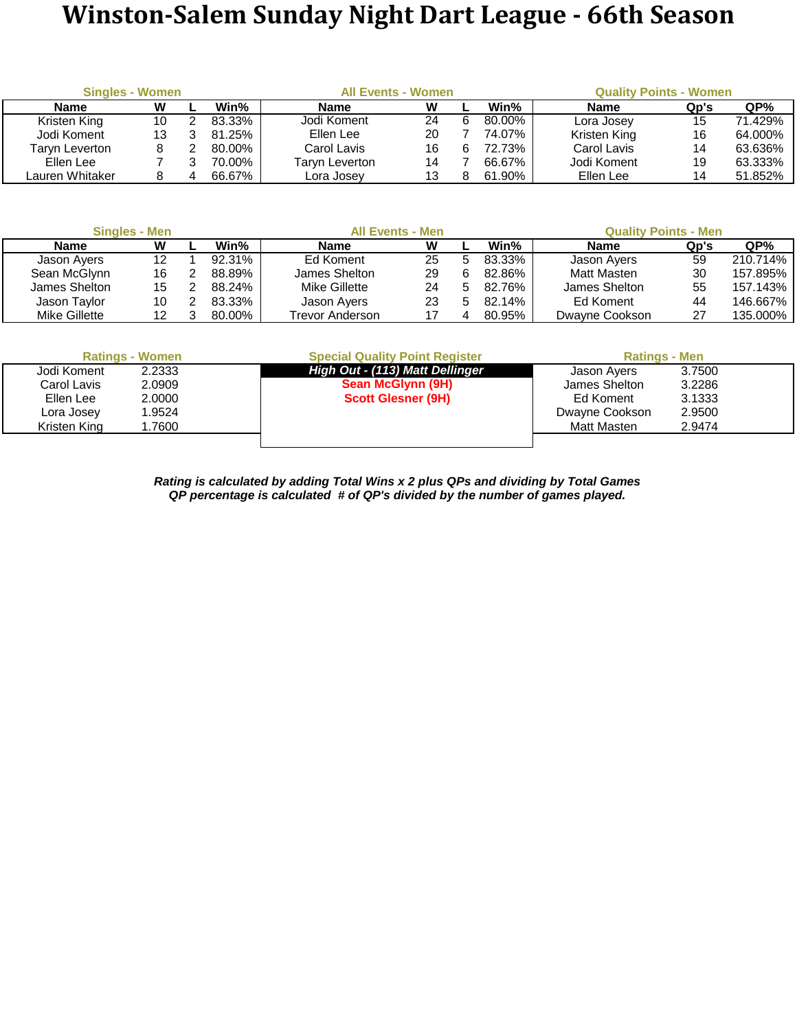## **Winston-Salem Sunday Night Dart League - 66th Season**

| <b>Singles - Women</b> |    |        | <b>All Events - Women</b> |    |   | <b>Quality Points - Women</b> |              |      |         |  |  |
|------------------------|----|--------|---------------------------|----|---|-------------------------------|--------------|------|---------|--|--|
| <b>Name</b>            | W  | Win%   | <b>Name</b>               | W  |   | Win%                          | <b>Name</b>  | Qp's | QP%     |  |  |
| Kristen King           | 10 | 83.33% | Jodi Koment               | 24 | 6 | 80.00%                        | Lora Josev   | 15   | 71.429% |  |  |
| Jodi Koment            |    | 81.25% | Ellen Lee                 | 20 |   | 74.07%                        | Kristen King | 16   | 64.000% |  |  |
| Taryn Leverton         |    | 80.00% | Carol Lavis               | 16 | 6 | 72.73%                        | Carol Lavis  | 14   | 63.636% |  |  |
| Ellen Lee              |    | 70.00% | Taryn Leverton            | 14 |   | 66.67%                        | Jodi Koment  | 19   | 63.333% |  |  |
| Lauren Whitaker        |    | 66.67% | Lora Josev                | 13 |   | 61.90%                        | Ellen Lee    | 14   | 51.852% |  |  |

| <b>Singles - Men</b> | <b>All Events - Men</b> |        |                 | <b>Quality Points - Men</b> |        |                |      |          |
|----------------------|-------------------------|--------|-----------------|-----------------------------|--------|----------------|------|----------|
| Name                 | W                       | Win%   | <b>Name</b>     | w                           | Win%   | <b>Name</b>    | Qp's | QP%      |
| Jason Ayers          | 12                      | 92.31% | Ed Koment       | 25                          | 83.33% | Jason Ayers    | 59   | 210.714% |
| Sean McGlynn         | 16                      | 88.89% | James Shelton   | 29                          | 82.86% | Matt Masten    | 30   | 157.895% |
| James Shelton        | 15                      | 88.24% | Mike Gillette   | 24                          | 82.76% | James Shelton  | 55   | 157.143% |
| Jason Taylor         | 10                      | 83.33% | Jason Ayers     | 23                          | 82.14% | Ed Koment      | 44   | 146.667% |
| Mike Gillette        |                         | 80.00% | Trevor Anderson |                             | 80.95% | Dwayne Cookson | 27   | 135.000% |

|              | <b>Ratings - Women</b> | <b>Special Quality Point Register</b> | <b>Ratings - Men</b> |        |  |
|--------------|------------------------|---------------------------------------|----------------------|--------|--|
| Jodi Koment  | 2.2333                 | High Out - (113) Matt Dellinger       | Jason Ayers          | 3.7500 |  |
| Carol Lavis  | 2.0909                 | Sean McGlynn (9H)                     | James Shelton        | 3.2286 |  |
| Ellen Lee    | 2.0000                 | <b>Scott Glesner (9H)</b>             | Ed Koment            | 3.1333 |  |
| Lora Josey   | 1.9524                 |                                       | Dwayne Cookson       | 2.9500 |  |
| Kristen King | .7600                  |                                       | Matt Masten          | 2.9474 |  |
|              |                        |                                       |                      |        |  |

*QP percentage is calculated # of QP's divided by the number of games played. Rating is calculated by adding Total Wins x 2 plus QPs and dividing by Total Games*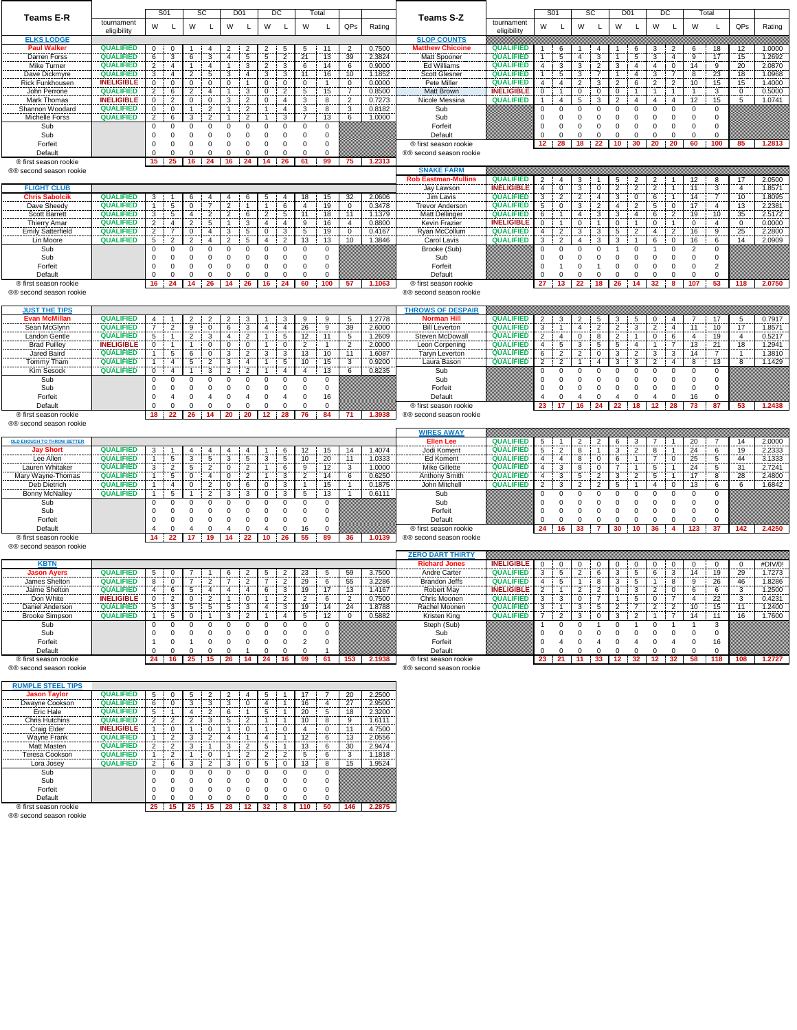|                                                  |                                       | S01                                                            | <b>SC</b>                                                 | D <sub>01</sub>                                       | DC                                                     | Total                                        |                   |                  |                                                  |                                       | S <sub>01</sub>                                       | <b>SC</b>                     |                                  | D <sub>01</sub>                                         |                                   | DC                               | Total                |                     |                      |                  |
|--------------------------------------------------|---------------------------------------|----------------------------------------------------------------|-----------------------------------------------------------|-------------------------------------------------------|--------------------------------------------------------|----------------------------------------------|-------------------|------------------|--------------------------------------------------|---------------------------------------|-------------------------------------------------------|-------------------------------|----------------------------------|---------------------------------------------------------|-----------------------------------|----------------------------------|----------------------|---------------------|----------------------|------------------|
| Teams E-R                                        | tournament                            | W<br>L                                                         | W<br>Г                                                    | W<br>L                                                | W<br>L                                                 | W<br>L                                       | QPs               | Rating           | <b>Teams S-Z</b>                                 | tournament                            | W<br>L                                                | W                             | L                                | W<br>L                                                  | W                                 | L                                | W                    |                     | QPs                  | Rating           |
|                                                  | eligibility                           |                                                                |                                                           |                                                       |                                                        |                                              |                   |                  |                                                  | eligibility                           |                                                       |                               |                                  |                                                         |                                   |                                  |                      |                     |                      |                  |
| <b>ELKS LODGE</b><br><b>Paul Walker</b>          | <b>QUALIFIED</b>                      |                                                                |                                                           |                                                       |                                                        |                                              |                   | 0.7500           | <b>SLOP COUNTS</b><br><b>Matthew Chicoine</b>    | <b>QUALIFIED</b>                      |                                                       | $\mathbf{1}$                  |                                  |                                                         |                                   |                                  |                      |                     | 12                   | 1.0000           |
| Darren Forss                                     | <b>QUALIFIED</b>                      | 0<br>0<br>3<br>6                                               | 4<br>6<br>3                                               | $\overline{c}$<br>2<br>4<br>5                         | $\overline{c}$<br>5<br>5<br>$\overline{c}$             | 11<br>5<br>21<br>13                          | 2<br>39           | 2.3824           | Matt Spooner                                     | <b>QUALIFIED</b>                      | 6<br>5<br>$\mathbf{1}$                                | $\overline{4}$                | 4<br>3                           | 6<br>5<br>1                                             | 3<br>3                            | 2<br>4                           | 6<br>9               | 18<br>17            | 15                   | 1.2692           |
| Mike Turner                                      | <b>QUALIFIED</b>                      | $\overline{2}$<br>4                                            | $\mathbf{1}$<br>4                                         | 3<br>$\overline{1}$                                   | $\overline{2}$<br>$\mathbf 3$                          | 6<br>14                                      | 6                 | 0.9000           | Ed Williams                                      | <b>QUALIFIED</b>                      | 3<br>4                                                | 3                             | $\overline{2}$                   | 3<br>4                                                  | 4                                 | $\pmb{0}$                        | 14                   | 9                   | 20                   | 2.0870           |
| Dave Dickmyre                                    | <b>QUALIFIED</b>                      | 3<br>4                                                         | $\overline{2}$<br>5                                       | 3<br>4                                                | 3<br>3                                                 | 16<br>11                                     | 10                | 1.1852           | <b>Scott Glesner</b>                             | <b>QUALIFIED</b>                      | $\mathbf{1}$<br>5                                     | 3                             | $\overline{7}$                   | $\mathbf{1}$<br>4                                       | 3                                 | $\overline{7}$                   | 8                    | 23                  | 18                   | 1.0968           |
| Rick Funkhousen                                  | <b>INELIGIBLE</b>                     | 0<br>0                                                         | 0<br>$\mathbf 0$                                          | 0<br>1                                                | 0<br>0                                                 | 0<br>$\overline{1}$                          | 0                 | 0.0000           | Pete Miller                                      | <b>QUALIFIED</b>                      | $\overline{4}$<br>$\overline{4}$                      | $\overline{2}$                | 3                                | $\overline{2}$<br>6                                     | $\boldsymbol{2}$                  | $\sqrt{2}$                       | 10                   | 15                  | 15                   | 1.4000           |
| John Perrone                                     | <b>QUALIFIED</b>                      | $\overline{2}$<br>6                                            | $\overline{2}$<br>$\overline{4}$                          | $\mathbf{1}$<br>3                                     | $\mathsf 0$<br>$\overline{c}$                          | 5<br>15                                      | $\overline{7}$    | 0.8500           | Matt Brown                                       | <b>INELIGIBLE</b>                     | 0<br>$\mathbf{1}$                                     | $\mathbf 0$                   | $\mathsf 0$                      | $\mathsf 0$<br>$\mathbf{1}$                             | $\mathbf{1}$                      | $\mathbf{1}$                     | $\overline{1}$       | 3                   | $\mathbf 0$          | 0.5000           |
| Mark Thomas                                      | <b>INELIGIBLE</b>                     | 0<br>$\overline{2}$                                            | 0<br>$\mathbf 0$                                          | 3<br>$\overline{2}$                                   | 0<br>4                                                 | 3<br>8                                       | $\overline{2}$    | 0.7273           | Nicole Messina                                   | <b>QUALIFIED</b>                      | 4                                                     | 5                             | 3                                | $\overline{2}$<br>4                                     | 4                                 | $\overline{4}$                   | 12                   | 15                  | 5                    | 1.0741           |
| Shannon Woodard<br><b>Michelle Forss</b>         | <b>QUALIFIED</b><br><b>QUALIFIED</b>  | 0<br>$\mathbf 0$<br>2<br>6                                     | $\overline{c}$<br>$\mathbf{1}$<br>3<br>$\overline{2}$     | $\overline{2}$<br>$\mathbf{1}$<br>$\overline{2}$<br>1 | $\overline{4}$<br>$\mathbf{1}$<br>3                    | 3<br>8<br>$\overline{7}$<br>13               | 3<br>6            | 0.8182<br>1.0000 | Sub<br>Sub                                       |                                       | 0<br>$\Omega$<br>0<br>$\Omega$                        | 0<br>$\mathbf 0$              | $\mathbf 0$<br>$\mathbf 0$       | 0<br>0<br>0<br>0                                        | 0<br>0                            | 0<br>0                           | $\Omega$<br>$\Omega$ | 0<br>0              |                      |                  |
| Sub                                              |                                       | 0<br>0                                                         | 0<br>0                                                    | 0<br>0                                                | $\mathbf 0$<br>$^{\circ}$                              | 0<br>0                                       |                   |                  | Forfeit                                          |                                       | $\mathbf 0$<br>0                                      | $\mathbf 0$                   | $\mathbf 0$                      | 0<br>0                                                  | $\mathbf 0$                       | 0                                | 0                    | 0                   |                      |                  |
| Sub                                              |                                       | $\mathbf 0$<br>0                                               | $\mathbf 0$<br>0                                          | 0<br>0                                                | 0<br>0                                                 | 0<br>$\mathbf 0$                             |                   |                  | Default                                          |                                       | $\Omega$                                              | 0                             | $\mathbf 0$                      | 0<br>$^{\circ}$                                         | $\mathbf 0$                       | $\Omega$                         | $\Omega$             | $\Omega$            |                      |                  |
| Forfeit                                          |                                       | $\mathsf 0$<br>$\mathbf 0$                                     | $\mathbf 0$<br>$\mathbf 0$                                | $\pmb{0}$<br>$\mathbf 0$                              | $\mathbf 0$<br>$\mathbf 0$                             | $\mathbf 0$<br>0                             |                   |                  | ® first season rookie                            |                                       | 28<br>12                                              | 18                            | 22                               | 10 <sub>1</sub><br>30                                   | 20                                | 20                               | 60                   | 100                 | 85                   | 1.2813           |
| Default                                          |                                       | $\Omega$<br>$\mathbf 0$                                        | $\mathbf 0$<br>0                                          | 0<br>0                                                | $\mathbf 0$<br>$\mathbf 0$                             | 0<br>$\mathbf 0$                             |                   |                  | ®® second season rookie                          |                                       |                                                       |                               |                                  |                                                         |                                   |                                  |                      |                     |                      |                  |
| ® first season rookie                            |                                       | 15<br>25                                                       | 24<br>16                                                  | 16<br>24                                              | 14<br>26                                               | 61<br>99                                     | 75                | 1.2313           |                                                  |                                       |                                                       |                               |                                  |                                                         |                                   |                                  |                      |                     |                      |                  |
| ®® second season rookie                          |                                       |                                                                |                                                           |                                                       |                                                        |                                              |                   |                  | <b>SNAKE FARM</b>                                |                                       |                                                       |                               |                                  |                                                         |                                   |                                  |                      |                     |                      |                  |
|                                                  |                                       |                                                                |                                                           |                                                       |                                                        |                                              |                   |                  | <b>Rob Eastman-Mullins</b>                       | <b>QUALIFIED</b>                      | 2<br>4                                                | 3                             | -1                               | 5<br>2                                                  | 2                                 |                                  | 12                   | 8                   | 17                   | 2.0500           |
| <b>FLIGHT CLUB</b><br><b>Chris Sabolcik</b>      | <b>QUALIFIED</b>                      | 3                                                              | 6<br>4                                                    | 4<br>6                                                | 5<br>4                                                 | 18<br>15                                     | 32                | 2.0606           | Jay Lawson<br>Jim Lavis                          | <b>INELIGIBLE</b><br><b>QUALIFIED</b> | $\overline{4}$<br>0<br>3<br>$\overline{\mathbf{c}}$   | $\mathbf 3$<br>$\overline{2}$ | $\mathbf 0$<br>$\overline{4}$    | $\overline{2}$<br>$\overline{2}$<br>3<br>0              | $\overline{c}$<br>6               | 1<br>$\mathbf{1}$                | 11<br>14             | 3<br>$\overline{7}$ | $\overline{4}$<br>10 | 1.8571<br>1.8095 |
| Dave Sheedy                                      | <b>QUALIFIED</b>                      | 5<br>$\mathbf{1}$                                              | $\mathsf 0$<br>$\overline{7}$                             | $\overline{2}$<br>1                                   | 6<br>$\mathbf{1}$                                      | $\overline{4}$<br>19                         | 0                 | 0.3478           | <b>Trevor Anderson</b>                           | <b>QUALIFIED</b>                      | 5<br>0                                                | 3                             | $\overline{c}$                   | 4<br>$\overline{2}$                                     | 5                                 | 0                                | 17                   | 4                   | 13                   | 2.2381           |
| <b>Scott Barrett</b>                             | <b>QUALIFIED</b>                      | 3<br>5                                                         | $\overline{\mathbf{c}}$<br>$\overline{4}$                 | $\overline{2}$<br>6                                   | $\overline{2}$<br>5                                    | 11<br>18                                     | 11                | 1.1379           | <b>Matt Dellinger</b>                            | <b>QUALIFIED</b>                      | 6<br>$\mathbf{1}$                                     | 4                             | 3                                | 3<br>4                                                  | 6                                 | $\overline{2}$                   | 19                   | 10                  | 35                   | 2.5172           |
| <b>Thierry Amar</b>                              | <b>QUALIFIED</b>                      | $\overline{2}$<br>4                                            | $\overline{2}$<br>5                                       | 1<br>3                                                | 4<br>4                                                 | 16<br>9                                      | 4                 | 0.8800           | Kevin Frazier                                    | <b>INELIGIBLE</b>                     | $\mathbf{1}$<br>0                                     | 0                             | $\mathbf{1}$                     | $\mathbf{1}$<br>0                                       | 0                                 | 1                                | 0                    | 4                   | 0                    | 0.0000           |
| <b>Emily Satterfield</b>                         | <b>QUALIFIED</b>                      | $\overline{2}$<br>$\overline{7}$                               | $\pmb{0}$<br>$\overline{4}$                               | 3<br>5                                                | $\mathsf 0$<br>3                                       | 5<br>19                                      | 0                 | 0.4167           | Ryan McCollum                                    | <b>QUALIFIED</b>                      | $\overline{2}$<br>4                                   | 3                             | $\mathbf 3$                      | 5<br>$\overline{2}$                                     | $\overline{4}$                    | $\overline{c}$                   | 16                   | 9                   | 25                   | 2.2800           |
| Lin Moore                                        | <b>QUALIFIED</b>                      | $\overline{2}$<br>5                                            | $\overline{2}$<br>$\overline{4}$                          | $\overline{2}$<br>5                                   | 4<br>$\overline{2}$                                    | 13<br>13                                     | 10                | 1.3846           | Carol Lavis                                      | <b>QUALIFIED</b>                      | 3<br>2                                                | $\overline{4}$                | 3                                | 3<br>$\overline{1}$                                     | 6                                 | $\mathbf 0$                      | 16                   | 6                   | 14                   | 2.0909           |
| Sub                                              |                                       | $\mathbf 0$<br>0<br>$\Omega$                                   | 0<br>$\mathbf 0$                                          | $\mathbf 0$<br>0                                      | 0<br>0                                                 | 0<br>0                                       |                   |                  | Brooke (Sub)                                     |                                       | 0<br>0                                                | $\mathbf 0$                   | $\mathbf 0$                      | $\mathbf 0$                                             |                                   | 0                                | 2                    | 0                   |                      |                  |
| Sub<br>Forfeit                                   |                                       | 0<br>$\mathbf 0$<br>$\mathbf 0$                                | $\mathbf 0$<br>$\mathbf 0$<br>$\mathbf 0$<br>0            | 0<br>0<br>0<br>0                                      | 0<br>0<br>0<br>0                                       | 0<br>0<br>0<br>0                             |                   |                  | Sub<br>Forfeit                                   |                                       | 0<br>0<br>0<br>$\mathbf{1}$                           | 0<br>$\mathbf 0$              | $\mathbf 0$<br>$\overline{1}$    | 0<br>0<br>0<br>0                                        | 0<br>0                            | 0<br>0                           | 0<br>$\mathbf 0$     | 0<br>$\overline{c}$ |                      |                  |
| Default                                          |                                       | $\Omega$<br>$^{\circ}$                                         | 0<br>0                                                    | 0<br>0                                                | $^{\circ}$<br>$^{\circ}$                               | 0<br>0                                       |                   |                  | Default                                          |                                       | 0                                                     | 0                             | $\mathbf 0$                      | 0<br>$^{\circ}$                                         | $\mathbf 0$                       | 0                                | 0                    | 0                   |                      |                  |
| ® first season rookie                            |                                       | 16<br>24                                                       | 14<br>26                                                  | 26<br>14                                              | 16<br>24                                               | 60<br>100                                    | 57                | 1.1063           | ® first season rookie                            |                                       | 27<br>13                                              | 22                            | 18                               | 26<br>14                                                | 32                                | 8                                | 107                  | 53                  | 118                  | 2.0750           |
| ®® second season rookie                          |                                       |                                                                |                                                           |                                                       |                                                        |                                              |                   |                  | ®® second season rookie                          |                                       |                                                       |                               |                                  |                                                         |                                   |                                  |                      |                     |                      |                  |
|                                                  |                                       |                                                                |                                                           |                                                       |                                                        |                                              |                   |                  |                                                  |                                       |                                                       |                               |                                  |                                                         |                                   |                                  |                      |                     |                      |                  |
| <b>JUST THE TIPS</b>                             |                                       |                                                                |                                                           |                                                       |                                                        |                                              |                   |                  | <b>THROWS OF DESPAIR</b>                         |                                       |                                                       |                               |                                  |                                                         |                                   |                                  |                      |                     |                      |                  |
| <b>Evan McMillan</b>                             | <b>QUALIFIED</b><br><b>QUALIFIED</b>  | 4<br>-1                                                        | $\overline{\mathbf{c}}$<br>$\overline{2}$                 | 3<br>$\overline{\mathbf{c}}$                          | 3                                                      | 9<br>9                                       | 5                 | 1.2778           | <b>Norman Hill</b>                               | <b>QUALIFIED</b>                      | $\overline{2}$<br>3                                   | $\overline{2}$                | 5                                | 5<br>3                                                  | 0                                 | 4                                | $\overline{7}$       | 17                  | 5                    | 0.7917           |
| Sean McGlynn<br>Landon Gentle                    | <b>QUALIFIED</b>                      | $\overline{7}$<br>$\overline{2}$<br>5                          | 9<br>$\mathbf 0$<br>3                                     | 6<br>3<br>4<br>$\overline{2}$                         | 4<br>4<br>5<br>1                                       | 26<br>9<br>12<br>11                          | 39<br>5           | 2.6000<br>1.2609 | <b>Bill Leverton</b><br>Steven McDowall          | <b>QUALIFIED</b><br><b>QUALIFIED</b>  | 3<br>$\mathbf{1}$<br>$\overline{2}$<br>$\overline{4}$ | 4<br>0                        | $\overline{2}$<br>8              | 3<br>$\overline{c}$<br>$\overline{2}$<br>$\mathbf{1}$   | $\overline{c}$<br>0               | $\overline{4}$<br>6              | 11<br>4              | 10<br>19            | 17<br>$\overline{4}$ | 1.8571<br>0.5217 |
| <b>Brad Puilley</b>                              | <b>INELIGIBLE</b>                     | $\mathbf{1}$<br>0<br>$\mathbf{1}$                              | $\overline{2}$<br>$\mathbf 0$<br>$\mathbf{1}$             | $\mathbf 0$<br>0                                      | $\mathbf{1}$<br>0                                      | $\overline{c}$<br>$\mathbf{1}$               | $\boldsymbol{2}$  | 2.0000           | Leon Corpening                                   | <b>QUALIFIED</b>                      | 5<br>4                                                | $\mathbf 3$                   | 5                                | 5<br>4                                                  | $\mathbf{1}$                      | $\overline{7}$                   | 13                   | 21                  | 18                   | 1.2941           |
| Jared Baird                                      | <b>QUALIFIED</b>                      | 5<br>1                                                         | 6<br>$\mathbf 0$                                          | $\overline{2}$<br>3                                   | 3<br>3                                                 | 13<br>10                                     | 11                | 1.6087           | <b>Taryn Leverton</b>                            | <b>QUALIFIED</b>                      | $\sqrt{2}$<br>6                                       | $\overline{2}$                | $\mathsf 0$                      | 3<br>$\overline{2}$                                     | 3                                 | 3                                | 14                   | $\overline{7}$      | -1                   | 1.3810           |
| Tommy Tham                                       | <b>QUALIFIED</b>                      | $\mathbf{1}$<br>4                                              | $\overline{c}$<br>5                                       | 3<br>4                                                | $\mathbf{1}$<br>5                                      | 10<br>15                                     | 3                 | 0.9200           | Laura Bason                                      | <b>QUALIFIED</b>                      | $\overline{2}$<br>$\overline{2}$                      | $\mathbf{1}$                  | $\overline{4}$                   | 3<br>3                                                  | $\overline{2}$                    | 4                                | 8                    | 13                  | 8                    | 1.1429           |
| Kim Sesock                                       | <b>QUALIFIED</b>                      | $\mathsf 0$<br>4                                               | $\mathbf{1}$<br>3                                         | $\overline{2}$<br>$\overline{2}$                      | 4                                                      | 13<br>4                                      | 6                 | 0.8235           | Sub                                              |                                       | $\mathbf 0$<br>$\Omega$                               | $\mathbf 0$                   | $\mathbf 0$                      | $\mathbf 0$<br>$\Omega$                                 | $\mathbf 0$                       | 0                                | $\Omega$             | 0                   |                      |                  |
| Sub                                              |                                       | $\Omega$<br>$\mathbf 0$                                        | $\mathbf 0$<br>$^{\circ}$                                 | $\Omega$<br>0                                         | $\mathbf 0$<br>$\mathbf 0$                             | $\Omega$<br>0                                |                   |                  | Sub                                              |                                       | 0<br>$\Omega$                                         | $\mathbf 0$                   | $\mathbf 0$                      | 0<br>0                                                  | 0                                 | 0                                | $\Omega$             | 0                   |                      |                  |
| Sub                                              |                                       | 0<br>0                                                         | 0<br>0                                                    | 0<br>0                                                | 0<br>0                                                 | 0<br>0                                       |                   |                  | Forfeit                                          |                                       | 0<br>0                                                | $\mathbf 0$                   | $\mathbf 0$                      | 0<br>0                                                  | 0                                 | 0                                | 0                    | 0                   |                      |                  |
| Forfeit<br>Default                               |                                       | $\Omega$<br>$\overline{4}$<br>$\Omega$                         | $\mathbf 0$<br>$\overline{4}$<br>0<br>0                   | 0<br>4<br>$\mathbf 0$<br>0                            | $^{\circ}$<br>$\overline{4}$<br>$\Omega$<br>$^{\circ}$ | 16<br>0<br>$\mathbf 0$<br>0                  |                   |                  | Default<br>® first season rookie                 |                                       | $\Omega$<br>23<br>17                                  | $\boldsymbol{\Delta}$<br>16   | $\Omega$<br>$\overline{4}$<br>24 | $\Omega$<br>22<br>18                                    | $\overline{4}$<br>12 <sub>2</sub> | $\Omega$<br>28                   | 16<br>73             | $\Omega$<br>87      | 53                   | 1.2438           |
| ® first season rookie                            |                                       | 18<br>22                                                       | 26<br>14                                                  | 20<br>20                                              | 28<br>12                                               | 76<br>84                                     | 71                | 1.3938           | ®® second season rookie                          |                                       |                                                       |                               |                                  |                                                         |                                   |                                  |                      |                     |                      |                  |
| ®® second season rookie                          |                                       |                                                                |                                                           |                                                       |                                                        |                                              |                   |                  |                                                  |                                       |                                                       |                               |                                  |                                                         |                                   |                                  |                      |                     |                      |                  |
|                                                  |                                       |                                                                |                                                           |                                                       |                                                        |                                              |                   |                  | <b>WIRES AWAY</b>                                |                                       |                                                       |                               |                                  |                                                         |                                   |                                  |                      |                     |                      |                  |
| <b>OLD ENOUGH TO THROW BETTER</b>                |                                       |                                                                |                                                           |                                                       |                                                        |                                              |                   |                  | <b>Ellen Lee</b>                                 | <b>QUALIFIED</b>                      | 5                                                     | $\overline{2}$                | 2                                | 6<br>3                                                  | 7                                 |                                  | 20                   | $\overline{7}$      | 14                   | 2.0000           |
|                                                  |                                       |                                                                |                                                           |                                                       |                                                        |                                              |                   |                  |                                                  |                                       |                                                       |                               |                                  |                                                         |                                   |                                  |                      |                     |                      |                  |
| <b>Jay Short</b>                                 | <b>QUALIFIED</b>                      | 3                                                              | 4<br>4                                                    | 4<br>4                                                | 6                                                      | 12<br>15                                     | 14                | 1.4074           | Jodi Koment                                      | <b>QUALIFIED</b>                      | $\overline{2}$<br>5                                   | 8                             | $\mathbf{1}$                     | 3<br>$\overline{2}$                                     | 8                                 | $\mathbf{1}$                     | 24                   | 6                   | 19                   | 2.2333           |
| Lee Allen                                        | <b>QUALIFIED</b>                      | 5<br>$\mathbf{1}$                                              | 3<br>5                                                    | 3<br>5                                                | 3<br>5                                                 | 10<br>20                                     | 11                | 1.0333           | Ed Koment                                        | <b>QUALIFIED</b>                      | 4<br>4                                                | 8                             | 0                                | 6<br>$\mathbf{1}$                                       | $\overline{7}$                    | 0                                | 25                   | 5                   | 44                   | 3.1333           |
| Lauren Whitaker                                  | <b>QUALIFIED</b>                      | 3<br>$\overline{2}$                                            | 5<br>$\overline{c}$                                       | $\overline{2}$<br>0                                   | 6<br>$\mathbf{1}$                                      | 9<br>12                                      | 3                 | 1.0000           | <b>Mike Gillette</b>                             | <b>QUALIFIED</b>                      | 3<br>4                                                | 8                             | $\mathsf 0$                      | 7<br>$\mathbf{1}$                                       | 5                                 | $\mathbf{1}$                     | 24                   | 5                   | 31                   | 2.7241           |
| Mary Wayne-Thomas<br>Deb Dietrich                | <b>QUALIFIED</b><br><b>QUALIFIED</b>  | 5<br>$\mathbf{1}$<br>$\mathbf{1}$<br>4                         | $\mathsf 0$<br>$\overline{4}$<br>$\overline{c}$           | $\overline{2}$<br>0<br>0<br>6                         | 3<br>1<br>0<br>3                                       | $\overline{2}$<br>14<br>$\overline{1}$<br>15 | 6<br>$\mathbf{1}$ | 0.6250<br>0.1875 | Anthony Smith<br>John Mitchell                   | <b>QUALIFIED</b><br><b>QUALIFIED</b>  | 3<br>4<br>$\overline{2}$<br>3                         | 5<br>$\overline{2}$           | $\overline{2}$<br>$\overline{2}$ | $\overline{2}$<br>3<br>5<br>$\overline{1}$              | 5<br>$\overline{4}$               | 1<br>0                           | 17<br>13             | 8<br>6              | 28<br>6              | 2.4800<br>1.6842 |
| Bonny McNalley                                   | <b>QUALIFIED</b>                      | 5<br>1                                                         | 0<br>$\overline{2}$<br>$\mathbf{1}$                       | 3<br>3                                                | 0<br>3                                                 | 5<br>13                                      | $\mathbf{1}$      | 0.6111           | Sub                                              |                                       | 0<br>0                                                | $^{\circ}$                    | 0                                | 0<br>0                                                  | 0                                 | 0                                | 0                    | 0                   |                      |                  |
| Sub                                              |                                       | 0<br>$\mathbf 0$                                               | $\mathbf 0$<br>0                                          | $\mathbf 0$<br>$\Omega$                               | $\mathbf 0$<br>0                                       | 0<br>$\mathbf 0$                             |                   |                  | Sub                                              |                                       | $\mathbf 0$<br>0                                      | $\mathbf 0$                   | $\mathbf 0$                      | $\mathbf 0$<br>$\mathbf 0$                              | 0                                 | 0                                | $\mathbf 0$          | 0                   |                      |                  |
| Sub                                              |                                       | 0<br>$\Omega$                                                  | $\mathbf 0$<br>0                                          | 0<br>0                                                | 0<br>0                                                 | 0<br>0                                       |                   |                  | Forfeit                                          |                                       | 0<br>0                                                | 0                             | $\mathbf 0$                      | 0<br>0                                                  | 0                                 | 0                                | 0                    | 0                   |                      |                  |
| Forfeit                                          |                                       | 0<br>$\mathbf 0$                                               | 0<br>$\mathbf 0$                                          | $\mathbf 0$<br>0                                      | 0<br>0                                                 | 0<br>0                                       |                   |                  | Default                                          |                                       | $\Omega$<br>$\Omega$                                  | 0                             | $\Omega$                         | $\Omega$<br>$\mathbf 0$                                 | $\Omega$                          | 0                                | $\Omega$             | $\Omega$            |                      |                  |
| Default                                          |                                       | 0                                                              | $\overline{4}$<br>0                                       | 0<br>$\overline{4}$                                   | $\overline{4}$<br>$^{\circ}$                           | 16<br>0                                      |                   |                  | ® first season rookie                            |                                       | 24<br>16                                              | 33                            | 7                                | 30<br>10                                                | 36                                | 4                                | 123                  | 37                  | 142                  | 2.4250           |
| ® first season rookie<br>®® second season rookie |                                       | 14<br>22                                                       | 17<br>19                                                  | 14<br>22                                              | $10-1$<br>26                                           | 55<br>89                                     | 36                | 1.0139           | ®® second season rookie                          |                                       |                                                       |                               |                                  |                                                         |                                   |                                  |                      |                     |                      |                  |
|                                                  |                                       |                                                                |                                                           |                                                       |                                                        |                                              |                   |                  | <b>ZERO DART THIRTY</b>                          |                                       |                                                       |                               |                                  |                                                         |                                   |                                  |                      |                     |                      |                  |
| <b>KBTN</b>                                      |                                       |                                                                |                                                           |                                                       |                                                        |                                              |                   |                  | <b>Richard Jones</b>                             | <b>INELIGIBLE</b>                     | 0<br>0                                                | 0                             | 0                                | 0<br>0                                                  | 0                                 | 0                                | 0                    | 0                   | 0                    | #DIV/0!          |
| <b>Jason Ayers</b>                               | <b>QUALIFIED</b>                      | 5<br>0                                                         |                                                           | 6<br>2                                                | 5<br>2                                                 | 23<br>5                                      | 59                | 3.7500           | Andre Carter                                     | <b>QUALIFIED</b>                      | 5<br>3                                                | $\overline{2}$                | 6                                | 3<br>5                                                  | 6                                 | 3                                | 14                   | 19                  | 29                   | 1.7273           |
| James Shelton                                    | <b>QUALIFIED</b>                      | 8<br>$\mathbf 0$                                               | $\overline{7}$<br>$\overline{2}$                          | $\overline{7}$<br>$\overline{2}$                      | $\overline{7}$<br>$\overline{2}$                       | 29<br>6                                      | 55                | 3.2286           | <b>Brandon Jeffs</b>                             | <b>QUALIFIED</b>                      | 5<br>4                                                | $\mathbf{1}$                  | 8                                | 3<br>5                                                  | $\mathbf{1}$                      | 8                                | 9                    | 26                  | 46                   | 1.8286           |
| Jaime Shelton                                    | <b>QUALIFIED</b>                      | 6<br>$\mathbf{A}$                                              | $5\overline{5}$<br>$\overline{a}$                         | $\mathbf{A}$<br>$\mathbf{A}$                          | 6<br>3 <sup>1</sup>                                    | 19<br>17                                     | 13                | 1.4167           | Robert May                                       | <b>INELIGIBLE</b>                     | $\overline{2}$<br>$\overline{1}$                      | $\overline{2}$                | $\overline{2}$                   | $\Omega$<br>$\mathcal{R}$                               | $\overline{2}$                    | $\Omega$                         | 6                    | $\epsilon$          | 3                    | 1.2500           |
| Don White<br>Daniel Anderson                     | <b>INELIGIBLE</b><br><b>QUALIFIED</b> | $\overline{c}$<br>0                                            | $\mathbf 0$<br>$\overline{2}$                             | 0<br>1                                                | $\overline{2}$<br>$\mathbf{1}$                         | $\sqrt{2}$<br>6                              | $\overline{c}$    | 0.7500           | Chris Moonen<br>Rachel Moonen                    | <b>QUALIFIED</b><br><b>QUALIFIED</b>  | 3<br>3<br>$\mathbf{1}$                                | $\mathbf 0$                   | $\overline{7}$                   | 5<br>1                                                  | $\mathsf 0$                       | $\overline{7}$                   | 4<br>10              | 22                  | 3<br>11              | 0.4231           |
| <b>Brooke Simpson</b>                            | <b>QUALIFIED</b>                      | 3<br>5<br>5<br>1                                               | $\sqrt{5}$<br>$\sqrt{5}$<br>$\mathbf 0$<br>$\overline{1}$ | 5<br>3<br>3<br>$\overline{2}$                         | 3<br>$\overline{4}$<br>$\overline{4}$<br>$\mathbf{1}$  | 19<br>14<br>12<br>5                          | 24<br>$\mathbf 0$ | 1.8788<br>0.5882 | Kristen King                                     | <b>QUALIFIED</b>                      | 3<br>$\overline{7}$<br>$\overline{2}$                 | 3<br>3                        | 5<br>$\overline{0}$              | $\overline{7}$<br>$\overline{2}$<br>3<br>$\overline{2}$ | $\overline{2}$<br>$\mathbf{1}$    | $\overline{2}$<br>$\overline{7}$ | 14                   | 15<br>11            | 16                   | 1.2400<br>1.7600 |
| Sub                                              |                                       | 0<br>0                                                         | $\mathbf 0$<br>$\mathbf 0$                                | 0<br>0                                                | 0<br>0                                                 | 0<br>0                                       |                   |                  | Steph (Sub)                                      |                                       | 0                                                     | 0                             | $\mathbf{1}$                     | 0                                                       | $\mathbf 0$                       |                                  |                      | 3                   |                      |                  |
| Sub                                              |                                       | 0<br>0                                                         | 0<br>0                                                    | 0<br>0                                                | 0<br>0                                                 | 0<br>0                                       |                   |                  | Sub                                              |                                       | 0<br>0                                                | $\mathbf{0}$                  | 0                                | 0<br>0                                                  | 0                                 | 0                                | 0                    | 0                   |                      |                  |
| Forfeit                                          |                                       | 1<br>0                                                         | $\mathbf{1}$<br>0                                         | 0<br>0                                                | 0<br>0                                                 | $\overline{c}$<br>0                          |                   |                  | Forfeit                                          |                                       | 0<br>4                                                | 0                             | 4                                | 0<br>4                                                  | 0                                 | 4                                | 0                    | 16                  |                      |                  |
| Default                                          |                                       | 0<br>$\Omega$                                                  | $\mathbf 0$<br>0                                          | 0<br>$\mathbf{1}$                                     | 0<br>0                                                 | 0<br>$\overline{1}$                          |                   |                  | Default                                          |                                       | $\Omega$<br>0                                         | 0                             | $\mathbf 0$                      | 0<br>$\mathbf 0$                                        | 0                                 | 0                                | 0                    | 0                   |                      |                  |
| ® first season rookie<br>®® second season rookie |                                       | 24 16                                                          | 25 15                                                     | $26 \t14$                                             | 24 16                                                  | 99<br>$-61$                                  | 153               | 2.1938           | ® first season rookie<br>®® second season rookie |                                       | 23 21                                                 | $11 \quad 33$                 |                                  | $12 \quad 32$                                           |                                   | $12 \quad 32$                    | 58                   | 118                 | 108                  | 1.2727           |
|                                                  |                                       |                                                                |                                                           |                                                       |                                                        |                                              |                   |                  |                                                  |                                       |                                                       |                               |                                  |                                                         |                                   |                                  |                      |                     |                      |                  |
| <b>RUMPLE STEEL TIPS</b>                         |                                       |                                                                |                                                           |                                                       |                                                        |                                              |                   |                  |                                                  |                                       |                                                       |                               |                                  |                                                         |                                   |                                  |                      |                     |                      |                  |
| <b>Jason Taylor</b>                              | <b>QUALIFIED</b>                      | 5<br>0                                                         | 5<br>2                                                    | 2<br>4                                                | 5                                                      | 17<br>7                                      | 20                | 2.2500           |                                                  |                                       |                                                       |                               |                                  |                                                         |                                   |                                  |                      |                     |                      |                  |
| Dwayne Cookson                                   | <b>QUALIFIED</b>                      | $\mathbf 0$<br>6                                               | 3<br>3                                                    | 3<br>$\mathbf 0$                                      | 4<br>$\mathbf{1}$                                      | 16<br>$\overline{4}$                         | 27                | 2.9500           |                                                  |                                       |                                                       |                               |                                  |                                                         |                                   |                                  |                      |                     |                      |                  |
| Eric Hale                                        | <b>QUALIFIED</b>                      | $\mathbf{1}$<br>5                                              | $\overline{2}$<br>$\overline{4}$                          | $\mathbf{1}$<br>6                                     | 5<br>$\mathbf{1}$                                      | 5<br>20                                      | 18                | 2.3200           |                                                  |                                       |                                                       |                               |                                  |                                                         |                                   |                                  |                      |                     |                      |                  |
| <b>Chris Hutchins</b>                            | <b>QUALIFIED</b>                      | $\overline{2}$<br>$\overline{2}$                               | $\overline{2}$<br>3                                       | 5<br>$\overline{a}$                                   | $\mathbf{1}$<br>$\mathbf{1}$                           | 8<br>10                                      | 9                 | 1.6111           |                                                  |                                       |                                                       |                               |                                  |                                                         |                                   |                                  |                      |                     |                      |                  |
| Craig Elder<br>Wayne Frank                       | <b>INELIGIBLE</b><br><b>QUALIFIED</b> | $\mathbf{1}$<br>$\mathbf{0}$<br>$\overline{2}$<br>$\mathbf{1}$ | 0<br>$\mathbf{1}$<br>3<br>$\overline{2}$                  | 0<br>1<br>4<br>$\mathbf{1}$                           | 0<br>$\mathbf{1}$<br>$\overline{4}$<br>$\mathbf{1}$    | 0<br>4<br>12<br>6                            | 11<br>13          | 4.7500<br>2.0556 |                                                  |                                       |                                                       |                               |                                  |                                                         |                                   |                                  |                      |                     |                      |                  |
| Matt Masten                                      | <b>QUALIFIED</b>                      | $\overline{a}$<br>$\overline{2}$                               | $\mathbf{3}$<br>$\overline{1}$                            | $\overline{2}$<br>3                                   | 5<br>$\mathbf{1}$                                      | 13<br>6                                      | 30                | 2.9474           |                                                  |                                       |                                                       |                               |                                  |                                                         |                                   |                                  |                      |                     |                      |                  |
| Teresa Cookson                                   | <b>QUALIFIED</b>                      | $\overline{2}$<br>$\mathbf{1}$                                 | $\mathbf{1}$<br>$\mathbf 0$                               | $\overline{a}$<br>$\mathbf{1}$                        | $\overline{2}$<br>$\overline{2}$                       | 5<br>6                                       | 3                 | 1.1818           |                                                  |                                       |                                                       |                               |                                  |                                                         |                                   |                                  |                      |                     |                      |                  |
| Lora Josey                                       | <b>QUALIFIED</b>                      | $\overline{2}$<br>6                                            | 3<br>$\overline{2}$                                       | 3<br>$\mathbf 0$                                      | 5<br>$\mathbf{0}$                                      | 13<br>8                                      | 15                | 1.9524           |                                                  |                                       |                                                       |                               |                                  |                                                         |                                   |                                  |                      |                     |                      |                  |
| Sub                                              |                                       | 0<br>0                                                         | 0<br>0                                                    | 0<br>0                                                | 0<br>0                                                 | 0<br>0                                       |                   |                  |                                                  |                                       |                                                       |                               |                                  |                                                         |                                   |                                  |                      |                     |                      |                  |
| Sub                                              |                                       | 0<br>0<br>0                                                    | $\mathbf 0$<br>$\mathbf 0$                                | 0<br>0<br>0                                           | 0<br>0<br>0<br>0                                       | 0<br>0                                       |                   |                  |                                                  |                                       |                                                       |                               |                                  |                                                         |                                   |                                  |                      |                     |                      |                  |
| Forfeit<br>Default                               |                                       | 0<br>$\Omega$<br>$\Omega$                                      | 0<br>0<br>$\mathbf 0$<br>$\mathbf 0$                      | $\mathsf 0$<br>0<br>0                                 | $^{\circ}$<br>0                                        | 0<br>0<br>$\Omega$<br>0                      |                   |                  |                                                  |                                       |                                                       |                               |                                  |                                                         |                                   |                                  |                      |                     |                      |                  |
| ® first season rookie<br>®® second season rookie |                                       | 25 <sub>1</sub><br>15                                          | $25 \t 15$                                                | 28 12                                                 | 32 <sub>1</sub><br>8                                   | 110<br>50                                    | 146               | 2.2875           |                                                  |                                       |                                                       |                               |                                  |                                                         |                                   |                                  |                      |                     |                      |                  |